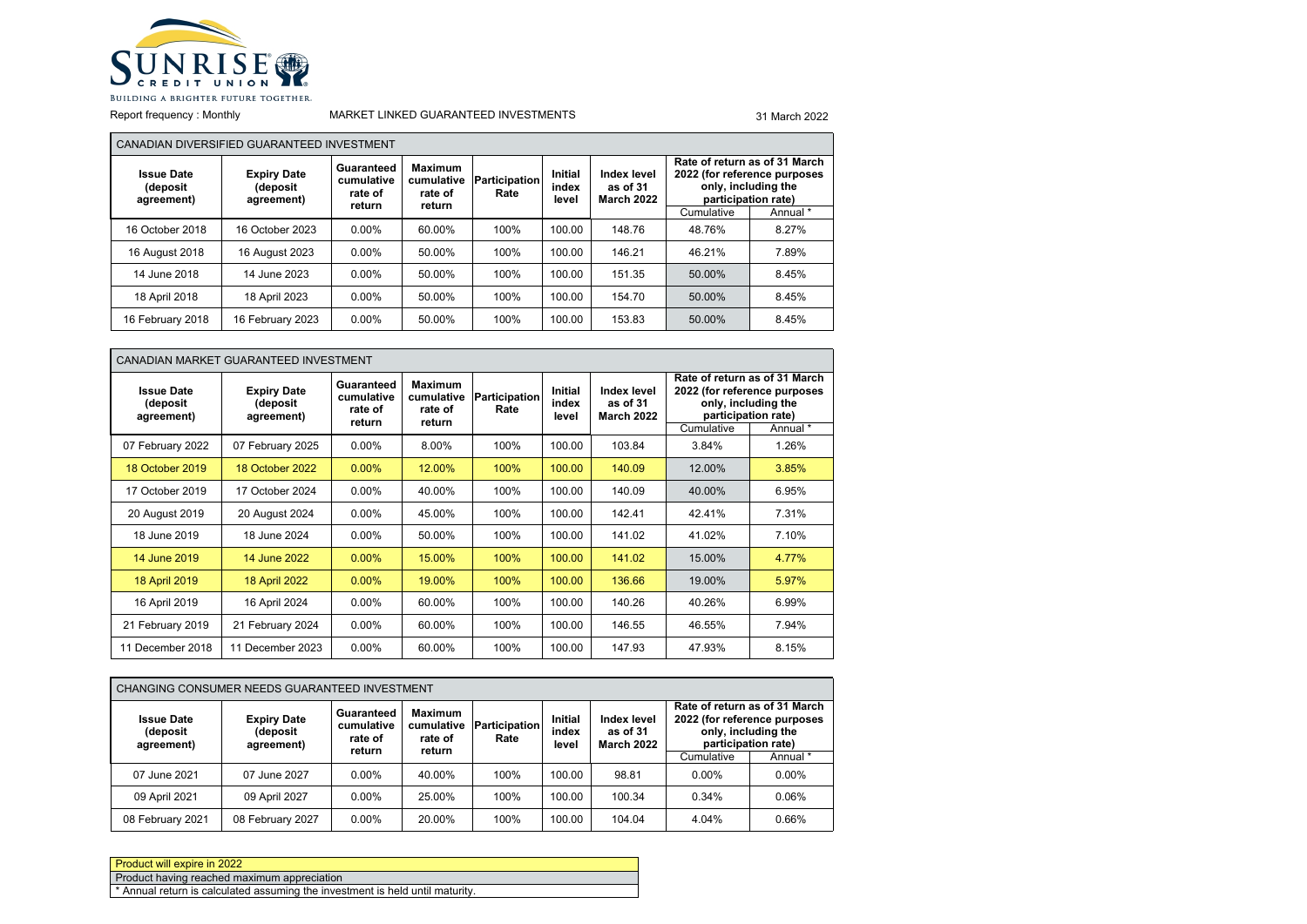

 $\blacksquare$ 

## Report frequency : Monthly MARKET LINKED GUARANTEED INVESTMENTS 31 March 2022

|                                             | CANADIAN DIVERSIFIED GUARANTEED INVESTMENT   |                                               |                                            |                              |                                  |                                                                                                                                                             |            |          |
|---------------------------------------------|----------------------------------------------|-----------------------------------------------|--------------------------------------------|------------------------------|----------------------------------|-------------------------------------------------------------------------------------------------------------------------------------------------------------|------------|----------|
| <b>Issue Date</b><br>(deposit<br>agreement) | <b>Expiry Date</b><br>(deposit<br>agreement) | Guaranteed<br>cumulative<br>rate of<br>return | Maximum<br>cumulative<br>rate of<br>return | <b>Participation</b><br>Rate | <b>Initial</b><br>index<br>level | Rate of return as of 31 March<br>2022 (for reference purposes<br>Index level<br>only, including the<br>as of 31<br>participation rate)<br><b>March 2022</b> |            |          |
|                                             |                                              |                                               |                                            |                              |                                  |                                                                                                                                                             | Cumulative | Annual * |
| 16 October 2018                             | 16 October 2023                              | $0.00\%$                                      | 60.00%                                     | 100%                         | 100.00                           | 148.76                                                                                                                                                      | 48.76%     | 8.27%    |
| 16 August 2018                              | 16 August 2023                               | $0.00\%$                                      | 50.00%                                     | 100%                         | 100.00                           | 146.21                                                                                                                                                      | 46.21%     | 7.89%    |
| 14 June 2018                                | 14 June 2023                                 | $0.00\%$                                      | 50.00%                                     | 100%                         | 100.00                           | 151.35                                                                                                                                                      | 50.00%     | 8.45%    |
| 18 April 2018                               | 18 April 2023                                | $0.00\%$                                      | 50.00%                                     | 100%                         | 100.00                           | 154.70                                                                                                                                                      | 50.00%     | 8.45%    |
| 16 February 2018                            | 16 February 2023                             | $0.00\%$                                      | 50.00%                                     | 100%                         | 100.00                           | 153.83                                                                                                                                                      | 50.00%     | 8.45%    |

| CANADIAN MARKET GUARANTEED INVESTMENT       |                                              |                                               |                                                   |                              |                                  |                                              |            |                                                                                                                         |  |
|---------------------------------------------|----------------------------------------------|-----------------------------------------------|---------------------------------------------------|------------------------------|----------------------------------|----------------------------------------------|------------|-------------------------------------------------------------------------------------------------------------------------|--|
| <b>Issue Date</b><br>(deposit<br>agreement) | <b>Expiry Date</b><br>(deposit<br>agreement) | Guaranteed<br>cumulative<br>rate of<br>return | <b>Maximum</b><br>cumulative<br>rate of<br>return | <b>Participation</b><br>Rate | <b>Initial</b><br>index<br>level | Index level<br>as of 31<br><b>March 2022</b> | Cumulative | Rate of return as of 31 March<br>2022 (for reference purposes<br>only, including the<br>participation rate)<br>Annual * |  |
| 07 February 2022                            | 07 February 2025                             | $0.00\%$                                      | 8.00%                                             | 100%                         | 100.00                           | 103.84                                       | 3.84%      | 1.26%                                                                                                                   |  |
| 18 October 2019                             | 18 October 2022                              | $0.00\%$                                      | 12.00%                                            | 100%                         | 100.00                           | 140.09                                       | 12.00%     | 3.85%                                                                                                                   |  |
| 17 October 2019                             | 17 October 2024                              | $0.00\%$                                      | 40.00%                                            | 100%                         | 100.00                           | 140.09                                       | 40.00%     | 6.95%                                                                                                                   |  |
| 20 August 2019                              | 20 August 2024                               | $0.00\%$                                      | 45.00%                                            | 100%                         | 100.00                           | 142.41                                       | 42.41%     | 7.31%                                                                                                                   |  |
| 18 June 2019                                | 18 June 2024                                 | $0.00\%$                                      | 50.00%                                            | 100%                         | 100.00                           | 141.02                                       | 41.02%     | 7.10%                                                                                                                   |  |
| 14 June 2019                                | 14 June 2022                                 | $0.00\%$                                      | 15.00%                                            | 100%                         | 100.00                           | 141.02                                       | 15.00%     | 4.77%                                                                                                                   |  |
| 18 April 2019                               | 18 April 2022                                | $0.00\%$                                      | 19.00%                                            | 100%                         | 100.00                           | 136.66                                       | 19.00%     | 5.97%                                                                                                                   |  |
| 16 April 2019                               | 16 April 2024                                | $0.00\%$                                      | 60.00%                                            | 100%                         | 100.00                           | 140.26                                       | 40.26%     | 6.99%                                                                                                                   |  |
| 21 February 2019                            | 21 February 2024                             | $0.00\%$                                      | 60.00%                                            | 100%                         | 100.00                           | 146.55                                       | 46.55%     | 7.94%                                                                                                                   |  |
| 11 December 2018                            | 11 December 2023                             | $0.00\%$                                      | 60.00%                                            | 100%                         | 100.00                           | 147.93                                       | 47.93%     | 8.15%                                                                                                                   |  |

| CHANGING CONSUMER NEEDS GUARANTEED INVESTMENT |                                              |                                               |                                                   |                              |                           |                                              |                                                                            |                               |  |
|-----------------------------------------------|----------------------------------------------|-----------------------------------------------|---------------------------------------------------|------------------------------|---------------------------|----------------------------------------------|----------------------------------------------------------------------------|-------------------------------|--|
| <b>Issue Date</b><br>(deposit<br>agreement)   | <b>Expiry Date</b><br>(deposit<br>agreement) | Guaranteed<br>cumulative<br>rate of<br>return | <b>Maximum</b><br>cumulative<br>rate of<br>return | <b>Participation</b><br>Rate | Initial<br>index<br>level | Index level<br>as of 31<br><b>March 2022</b> | 2022 (for reference purposes<br>only, including the<br>participation rate) | Rate of return as of 31 March |  |
|                                               |                                              |                                               |                                                   |                              |                           |                                              | Cumulative                                                                 | Annual *                      |  |
| 07 June 2021                                  | 07 June 2027                                 | $0.00\%$                                      | 40.00%                                            | 100%                         | 100.00                    | 98.81                                        | $0.00\%$                                                                   | $0.00\%$                      |  |
| 09 April 2021                                 | 09 April 2027                                | $0.00\%$                                      | 25.00%                                            | 100%                         | 100.00                    | 100.34                                       | 0.34%                                                                      | 0.06%                         |  |
| 08 February 2021                              | 08 February 2027                             | $0.00\%$                                      | 20.00%                                            | 100%                         | 100.00                    | 104.04                                       | 4.04%                                                                      | 0.66%                         |  |

| Product will expire in 2022                                                   |
|-------------------------------------------------------------------------------|
| Product having reached maximum appreciation                                   |
| * Annual return is calculated assuming the investment is held until maturity. |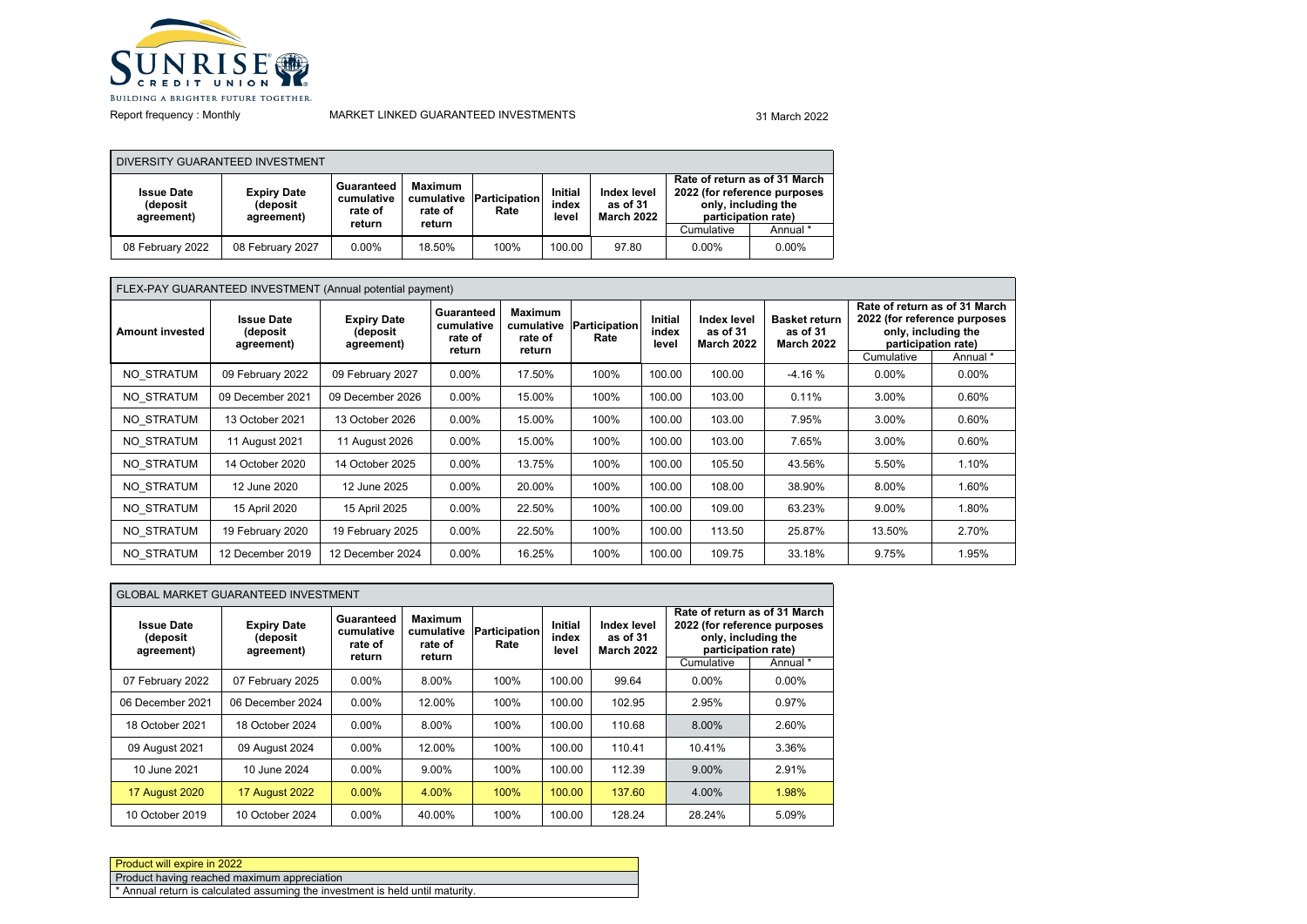

Report frequency : Monthly

### MARKET LINKED GUARANTEED INVESTMENTS **31 March 2022**

| DIVERSITY GUARANTEED INVESTMENT             |                                              |                                     |                                         |                              |                                  |                                              |                              |                                                                             |  |
|---------------------------------------------|----------------------------------------------|-------------------------------------|-----------------------------------------|------------------------------|----------------------------------|----------------------------------------------|------------------------------|-----------------------------------------------------------------------------|--|
| <b>Issue Date</b><br>(deposit<br>agreement) | <b>Expiry Date</b><br>(deposit<br>agreement) | Guaranteed<br>cumulative<br>rate of | <b>Maximum</b><br>cumulative<br>rate of | <b>Participation</b><br>Rate | <b>Initial</b><br>index<br>level | Index level<br>as of 31<br><b>March 2022</b> | 2022 (for reference purposes | Rate of return as of 31 March<br>only, including the<br>participation rate) |  |
|                                             |                                              | return                              | return                                  |                              |                                  |                                              | Cumulative                   | Annual *                                                                    |  |
| 08 February 2022                            | 08 February 2027                             | $0.00\%$                            | 18.50%                                  | 100%                         | 100.00                           | 97.80                                        | $0.00\%$                     | $0.00\%$                                                                    |  |

# FLEX-PAY GUARANTEED INVESTMENT (Annual potential payment)

| <b>Amount invested</b> | <b>Issue Date</b><br>(deposit<br>agreement) | <b>Expiry Date</b><br>(deposit<br>agreement) | Guaranteed<br>cumulative<br>rate of<br>return | <b>Maximum</b><br>rate of<br>return | cumulative Participation<br>Rate | <b>Initial</b><br>index<br>level | <b>Index level</b><br>as of 31<br><b>March 2022</b> | <b>Basket return</b><br>as of 31<br><b>March 2022</b> | Cumulative | Rate of return as of 31 March<br>2022 (for reference purposes<br>only, including the<br>participation rate)<br>Annual * |
|------------------------|---------------------------------------------|----------------------------------------------|-----------------------------------------------|-------------------------------------|----------------------------------|----------------------------------|-----------------------------------------------------|-------------------------------------------------------|------------|-------------------------------------------------------------------------------------------------------------------------|
| NO STRATUM             | 09 February 2022                            | 09 February 2027                             | $0.00\%$                                      | 17.50%                              | 100%                             | 100.00                           | 100.00                                              | $-4.16%$                                              | $0.00\%$   | $0.00\%$                                                                                                                |
| NO STRATUM             | 09 December 2021                            | 09 December 2026                             | $0.00\%$                                      | 15.00%                              | 100%                             | 100.00                           | 103.00                                              | 0.11%                                                 | 3.00%      | 0.60%                                                                                                                   |
| NO STRATUM             | 13 October 2021                             | 13 October 2026                              | $0.00\%$                                      | 15.00%                              | 100%                             | 100.00                           | 103.00                                              | 7.95%                                                 | 3.00%      | 0.60%                                                                                                                   |
| NO STRATUM             | 11 August 2021                              | 11 August 2026                               | $0.00\%$                                      | 15.00%                              | 100%                             | 100.00                           | 103.00                                              | 7.65%                                                 | 3.00%      | 0.60%                                                                                                                   |
| NO STRATUM             | 14 October 2020                             | 14 October 2025                              | $0.00\%$                                      | 13.75%                              | 100%                             | 100.00                           | 105.50                                              | 43.56%                                                | 5.50%      | 1.10%                                                                                                                   |
| NO STRATUM             | 12 June 2020                                | 12 June 2025                                 | $0.00\%$                                      | 20.00%                              | 100%                             | 100.00                           | 108.00                                              | 38.90%                                                | 8.00%      | 1.60%                                                                                                                   |
| NO STRATUM             | 15 April 2020                               | 15 April 2025                                | $0.00\%$                                      | 22.50%                              | 100%                             | 100.00                           | 109.00                                              | 63.23%                                                | 9.00%      | 1.80%                                                                                                                   |
| NO STRATUM             | 19 February 2020                            | 19 February 2025                             | $0.00\%$                                      | 22.50%                              | 100%                             | 100.00                           | 113.50                                              | 25.87%                                                | 13.50%     | 2.70%                                                                                                                   |
| NO STRATUM             | 12 December 2019                            | 12 December 2024                             | $0.00\%$                                      | 16.25%                              | 100%                             | 100.00                           | 109.75                                              | 33.18%                                                | 9.75%      | 1.95%                                                                                                                   |

| <b>GLOBAL MARKET GUARANTEED INVESTMENT</b>  |                                              |                                               |                                            |                              |                                  |                                              |                     |                                                                                      |  |
|---------------------------------------------|----------------------------------------------|-----------------------------------------------|--------------------------------------------|------------------------------|----------------------------------|----------------------------------------------|---------------------|--------------------------------------------------------------------------------------|--|
| <b>Issue Date</b><br>(deposit<br>agreement) | <b>Expiry Date</b><br>(deposit<br>agreement) | Guaranteed<br>cumulative<br>rate of<br>return | Maximum<br>cumulative<br>rate of<br>return | <b>Participation</b><br>Rate | <b>Initial</b><br>index<br>level | Index level<br>as of 31<br><b>March 2022</b> | only, including the | Rate of return as of 31 March<br>2022 (for reference purposes<br>participation rate) |  |
|                                             |                                              |                                               |                                            |                              |                                  |                                              | Cumulative          | Annual *                                                                             |  |
| 07 February 2022                            | 07 February 2025                             | $0.00\%$                                      | 8.00%                                      | 100%                         | 100.00                           | 99.64                                        | $0.00\%$            | $0.00\%$                                                                             |  |
| 06 December 2021                            | 06 December 2024                             | $0.00\%$                                      | 12.00%                                     | 100%                         | 100.00                           | 102.95                                       | 2.95%               | 0.97%                                                                                |  |
| 18 October 2021                             | 18 October 2024                              | $0.00\%$                                      | 8.00%                                      | 100%                         | 100.00                           | 110.68                                       | 8.00%               | 2.60%                                                                                |  |
| 09 August 2021                              | 09 August 2024                               | $0.00\%$                                      | 12.00%                                     | 100%                         | 100.00                           | 110.41                                       | 10.41%              | 3.36%                                                                                |  |
| 10 June 2021                                | 10 June 2024                                 | $0.00\%$                                      | 9.00%                                      | 100%                         | 100.00                           | 112.39                                       | 9.00%               | 2.91%                                                                                |  |
| <b>17 August 2020</b>                       | <b>17 August 2022</b>                        | $0.00\%$                                      | 4.00%                                      | 100%                         | 100.00                           | 137.60                                       | 4.00%               | 1.98%                                                                                |  |
| 10 October 2019                             | 10 October 2024                              | $0.00\%$                                      | 40.00%                                     | 100%                         | 100.00                           | 128.24                                       | 28.24%              | 5.09%                                                                                |  |

| Product will expire in 2022                                                              |
|------------------------------------------------------------------------------------------|
| Product having reached maximum appreciation                                              |
| <sup>*</sup> Annual return is calculated assuming the investment is held until maturity. |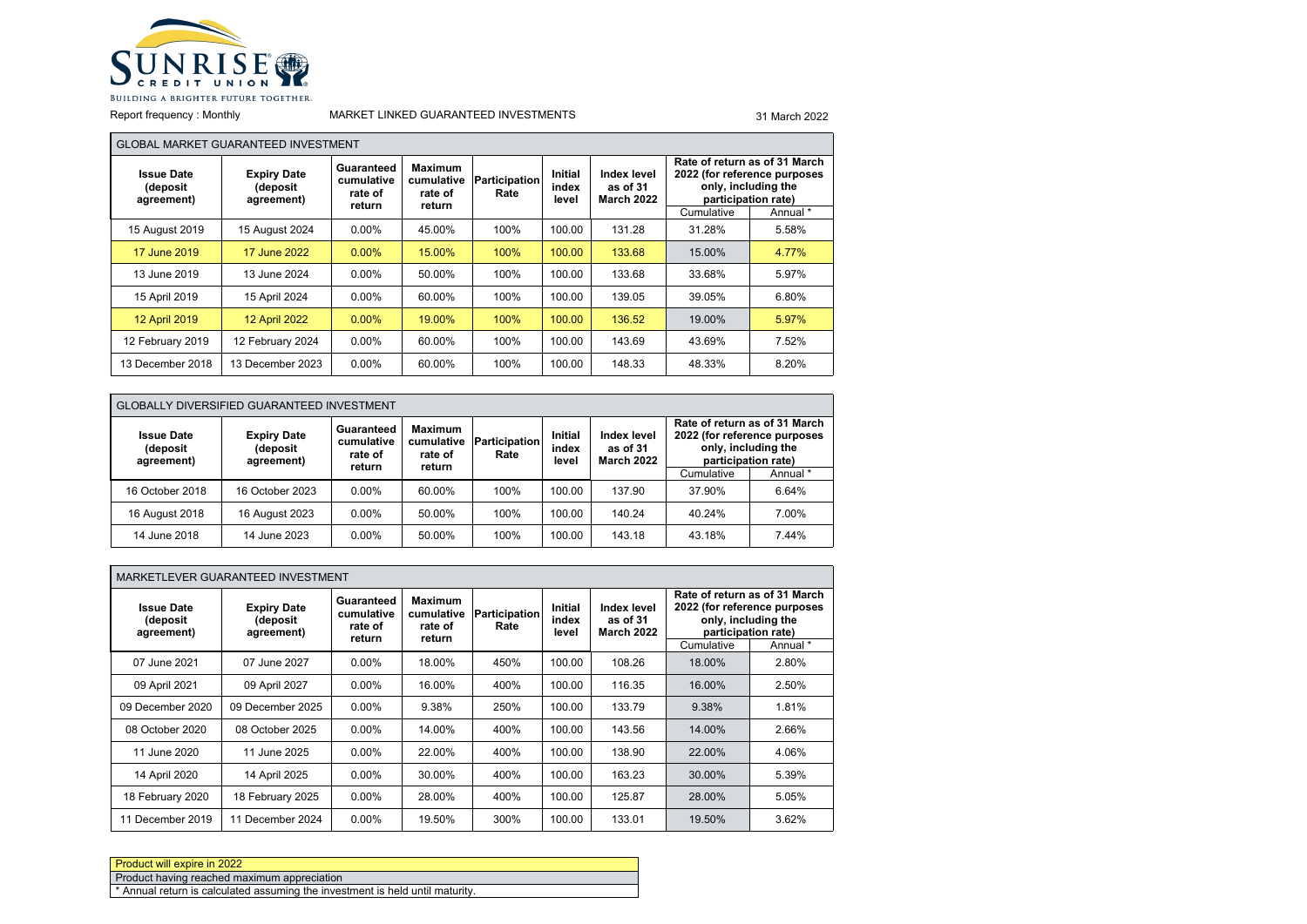

Report frequency : Monthly

П

### MARKET LINKED GUARANTEED INVESTMENTS 31 March 2022

|                                             | <b>GLOBAL MARKET GUARANTEED INVESTMENT</b>   |                                               |                                                   |                       |                                  |                                              |            |                                                                                                             |  |
|---------------------------------------------|----------------------------------------------|-----------------------------------------------|---------------------------------------------------|-----------------------|----------------------------------|----------------------------------------------|------------|-------------------------------------------------------------------------------------------------------------|--|
| <b>Issue Date</b><br>(deposit<br>agreement) | <b>Expiry Date</b><br>(deposit<br>agreement) | Guaranteed<br>cumulative<br>rate of<br>return | <b>Maximum</b><br>cumulative<br>rate of<br>return | Participation<br>Rate | <b>Initial</b><br>index<br>level | Index level<br>as of 31<br><b>March 2022</b> |            | Rate of return as of 31 March<br>2022 (for reference purposes<br>only, including the<br>participation rate) |  |
|                                             |                                              |                                               |                                                   |                       |                                  |                                              | Cumulative | Annual *                                                                                                    |  |
| 15 August 2019                              | 15 August 2024                               | $0.00\%$                                      | 45.00%                                            | 100%                  | 100.00                           | 131.28                                       | 31.28%     | 5.58%                                                                                                       |  |
| 17 June 2019                                | 17 June 2022                                 | $0.00\%$                                      | 15.00%                                            | 100%                  | 100.00                           | 133.68                                       | 15.00%     | 4.77%                                                                                                       |  |
| 13 June 2019                                | 13 June 2024                                 | $0.00\%$                                      | 50.00%                                            | 100%                  | 100.00                           | 133.68                                       | 33.68%     | 5.97%                                                                                                       |  |
| 15 April 2019                               | 15 April 2024                                | $0.00\%$                                      | 60.00%                                            | 100%                  | 100.00                           | 139.05                                       | 39.05%     | 6.80%                                                                                                       |  |
| 12 April 2019                               | <b>12 April 2022</b>                         | $0.00\%$                                      | 19.00%                                            | 100%                  | 100.00                           | 136.52                                       | 19.00%     | 5.97%                                                                                                       |  |
| 12 February 2019                            | 12 February 2024                             | $0.00\%$                                      | 60.00%                                            | 100%                  | 100.00                           | 143.69                                       | 43.69%     | 7.52%                                                                                                       |  |
| 13 December 2018                            | 13 December 2023                             | $0.00\%$                                      | 60.00%                                            | 100%                  | 100.00                           | 148.33                                       | 48.33%     | 8.20%                                                                                                       |  |

| <b>GLOBALLY DIVERSIFIED GUARANTEED INVESTMENT</b> |                                              |                                               |                                                   |                       |                                  |                                              |                                                                                                                                       |       |  |
|---------------------------------------------------|----------------------------------------------|-----------------------------------------------|---------------------------------------------------|-----------------------|----------------------------------|----------------------------------------------|---------------------------------------------------------------------------------------------------------------------------------------|-------|--|
| <b>Issue Date</b><br>(deposit<br>agreement)       | <b>Expiry Date</b><br>(deposit<br>agreement) | Guaranteed<br>cumulative<br>rate of<br>return | <b>Maximum</b><br>cumulative<br>rate of<br>return | Participation<br>Rate | <b>Initial</b><br>index<br>level | Index level<br>as of 31<br><b>March 2022</b> | Rate of return as of 31 March<br>2022 (for reference purposes<br>only, including the<br>participation rate)<br>Annual *<br>Cumulative |       |  |
|                                                   |                                              |                                               |                                                   |                       |                                  |                                              |                                                                                                                                       |       |  |
| 16 October 2018                                   | 16 October 2023                              | $0.00\%$                                      | 60.00%                                            | 100%                  | 100.00                           | 137.90                                       | 37.90%                                                                                                                                | 6.64% |  |
| 16 August 2018                                    | 16 August 2023                               | $0.00\%$                                      | 50.00%                                            | 100%                  | 100.00                           | 140.24                                       | 40.24%                                                                                                                                | 7.00% |  |
| 14 June 2018                                      | 14 June 2023                                 | $0.00\%$                                      | 50.00%                                            | 100%                  | 100.00                           | 143.18                                       | 43.18%                                                                                                                                | 7.44% |  |

|                                             | MARKETLEVER GUARANTEED INVESTMENT            |                                               |                                                   |                              |                                  |                                              |            |                                                                                                             |  |  |
|---------------------------------------------|----------------------------------------------|-----------------------------------------------|---------------------------------------------------|------------------------------|----------------------------------|----------------------------------------------|------------|-------------------------------------------------------------------------------------------------------------|--|--|
| <b>Issue Date</b><br>(deposit<br>agreement) | <b>Expiry Date</b><br>(deposit<br>agreement) | Guaranteed<br>cumulative<br>rate of<br>return | <b>Maximum</b><br>cumulative<br>rate of<br>return | <b>Participation</b><br>Rate | <b>Initial</b><br>index<br>level | Index level<br>as of 31<br><b>March 2022</b> |            | Rate of return as of 31 March<br>2022 (for reference purposes<br>only, including the<br>participation rate) |  |  |
|                                             |                                              |                                               |                                                   |                              |                                  |                                              | Cumulative | Annual *                                                                                                    |  |  |
| 07 June 2021                                | 07 June 2027                                 | $0.00\%$                                      | 18.00%                                            | 450%                         | 100.00                           | 108.26                                       | 18.00%     | 2.80%                                                                                                       |  |  |
| 09 April 2021                               | 09 April 2027                                | $0.00\%$                                      | 16.00%                                            | 400%                         | 100.00                           | 116.35                                       | 16.00%     | 2.50%                                                                                                       |  |  |
| 09 December 2020                            | 09 December 2025                             | $0.00\%$                                      | 9.38%                                             | 250%                         | 100.00                           | 133.79                                       | 9.38%      | 1.81%                                                                                                       |  |  |
| 08 October 2020                             | 08 October 2025                              | $0.00\%$                                      | 14.00%                                            | 400%                         | 100.00                           | 143.56                                       | 14.00%     | 2.66%                                                                                                       |  |  |
| 11 June 2020                                | 11 June 2025                                 | $0.00\%$                                      | 22.00%                                            | 400%                         | 100.00                           | 138.90                                       | 22.00%     | 4.06%                                                                                                       |  |  |
| 14 April 2020                               | 14 April 2025                                | $0.00\%$                                      | 30.00%                                            | 400%                         | 100.00                           | 163.23                                       | 30.00%     | 5.39%                                                                                                       |  |  |
| 18 February 2020                            | 18 February 2025                             | $0.00\%$                                      | 28.00%                                            | 400%                         | 100.00                           | 125.87                                       | 28.00%     | 5.05%                                                                                                       |  |  |
| 11 December 2019                            | 11 December 2024                             | $0.00\%$                                      | 19.50%                                            | 300%                         | 100.00                           | 133.01                                       | 19.50%     | 3.62%                                                                                                       |  |  |

| Product will expire in 2022                                                              |  |
|------------------------------------------------------------------------------------------|--|
| Product having reached maximum appreciation                                              |  |
| <sup>*</sup> Annual return is calculated assuming the investment is held until maturity. |  |